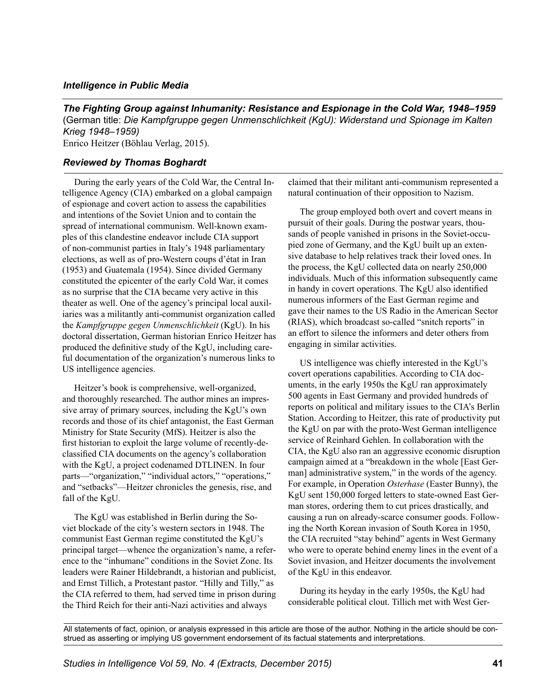## *Intelligence in Public Media*

*The Fighting Group against Inhumanity: Resistance and Espionage in the Cold War, 1948–1959*  (German title: *Die Kampfgruppe gegen Unmenschlichkeit (KgU): Widerstand und Spionage im Kalten Krieg 1948–1959)* 

Enrico Heitzer (Bӧhlau Verlag, 2015).

## *Reviewed by Thomas Boghardt*

During the early years of the Cold War, the Central Intelligence Agency (CIA) embarked on a global campaign of espionage and covert action to assess the capabilities and intentions of the Soviet Union and to contain the spread of international communism. Well-known examples of this clandestine endeavor include CIA support of non-communist parties in Italy's 1948 parliamentary elections, as well as of pro-Western coups d'état in Iran (1953) and Guatemala (1954). Since divided Germany constituted the epicenter of the early Cold War, it comes as no surprise that the CIA became very active in this theater as well. One of the agency's principal local auxiliaries was a militantly anti-communist organization called the *Kampfgruppe gegen Unmenschlichkeit* (KgU). In his doctoral dissertation, German historian Enrico Heitzer has produced the definitive study of the KgU, including careful documentation of the organization's numerous links to US intelligence agencies.

Heitzer's book is comprehensive, well-organized, and thoroughly researched. The author mines an impressive array of primary sources, including the KgU's own records and those of its chief antagonist, the East German Ministry for State Security (MfS). Heitzer is also the first historian to exploit the large volume of recently-declassified CIA documents on the agency's collaboration with the KgU, a project codenamed DTLINEN. In four parts—"organization," "individual actors," "operations," and "setbacks"—Heitzer chronicles the genesis, rise, and fall of the KgU.

The KgU was established in Berlin during the Soviet blockade of the city's western sectors in 1948. The communist East German regime constituted the KgU's principal target—whence the organization's name, a reference to the "inhumane" conditions in the Soviet Zone. Its leaders were Rainer Hildebrandt, a historian and publicist, and Ernst Tillich, a Protestant pastor. "Hilly and Tilly," as the CIA referred to them, had served time in prison during the Third Reich for their anti-Nazi activities and always

claimed that their militant anti-communism represented a natural continuation of their opposition to Nazism.

The group employed both overt and covert means in pursuit of their goals. During the postwar years, thousands of people vanished in prisons in the Soviet-occupied zone of Germany, and the KgU built up an extensive database to help relatives track their loved ones. In the process, the KgU collected data on nearly 250,000 individuals. Much of this information subsequently came in handy in covert operations. The KgU also identified numerous informers of the East German regime and gave their names to the US Radio in the American Sector (RIAS), which broadcast so-called "snitch reports" in an effort to silence the informers and deter others from engaging in similar activities.

US intelligence was chiefly interested in the KgU's covert operations capabilities. According to CIA documents, in the early 1950s the KgU ran approximately 500 agents in East Germany and provided hundreds of reports on political and military issues to the CIA's Berlin Station. According to Heitzer, this rate of productivity put the KgU on par with the proto-West German intelligence service of Reinhard Gehlen. In collaboration with the CIA, the KgU also ran an aggressive economic disruption campaign aimed at a "breakdown in the whole [East German] administrative system," in the words of the agency. For example, in Operation *Osterhase* (Easter Bunny), the KgU sent 150,000 forged letters to state-owned East German stores, ordering them to cut prices drastically, and causing a run on already-scarce consumer goods. Following the North Korean invasion of South Korea in 1950, the CIA recruited "stay behind" agents in West Germany who were to operate behind enemy lines in the event of a Soviet invasion, and Heitzer documents the involvement of the KgU in this endeavor.

During its heyday in the early 1950s, the KgU had considerable political clout. Tillich met with West Ger-

All statements of fact, opinion, or analysis expressed in this article are those of the author. Nothing in the article should be construed as asserting or implying US government endorsement of its factual statements and interpretations.